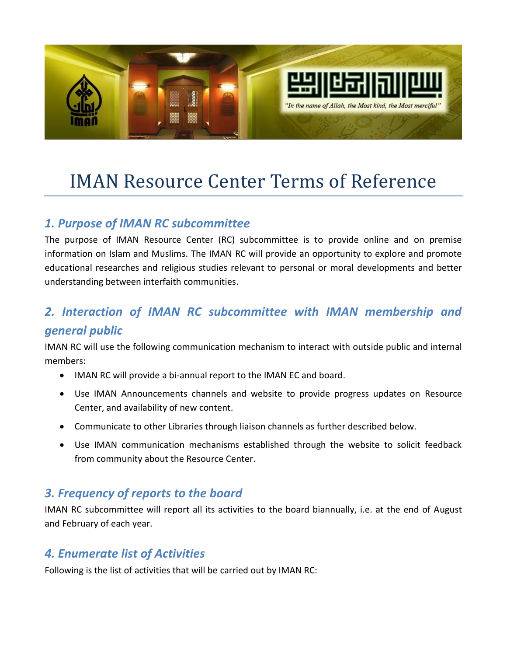

# IMAN Resource Center Terms of Reference

# *1. Purpose of IMAN RC subcommittee*

The purpose of IMAN Resource Center (RC) subcommittee is to provide online and on premise information on Islam and Muslims. The IMAN RC will provide an opportunity to explore and promote educational researches and religious studies relevant to personal or moral developments and better understanding between interfaith communities.

# *2. Interaction of IMAN RC subcommittee with IMAN membership and general public*

IMAN RC will use the following communication mechanism to interact with outside public and internal members:

- IMAN RC will provide a bi-annual report to the IMAN EC and board.
- Use IMAN Announcements channels and website to provide progress updates on Resource Center, and availability of new content.
- Communicate to other Libraries through liaison channels as further described below.
- Use IMAN communication mechanisms established through the website to solicit feedback from community about the Resource Center.

### *3. Frequency of reports to the board*

IMAN RC subcommittee will report all its activities to the board biannually, i.e. at the end of August and February of each year.

## *4. Enumerate list of Activities*

Following is the list of activities that will be carried out by IMAN RC: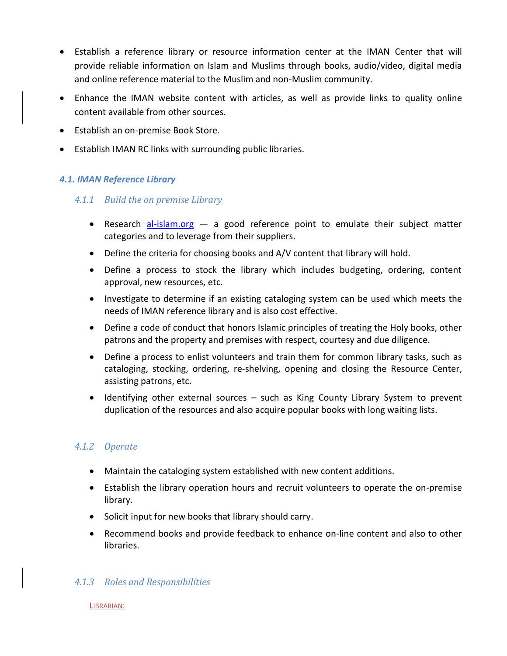- Establish a reference library or resource information center at the IMAN Center that will provide reliable information on Islam and Muslims through books, audio/video, digital media and online reference material to the Muslim and non-Muslim community.
- Enhance the IMAN website content with articles, as well as provide links to quality online content available from other sources.
- Establish an on-premise Book Store.
- Establish IMAN RC links with surrounding public libraries.

#### *4.1. IMAN Reference Library*

#### *4.1.1 Build the on premise Library*

- **•** Research [al-islam.org](http://www.al-islam.org/)  $-$  a good reference point to emulate their subject matter categories and to leverage from their suppliers.
- Define the criteria for choosing books and A/V content that library will hold.
- Define a process to stock the library which includes budgeting, ordering, content approval, new resources, etc.
- Investigate to determine if an existing cataloging system can be used which meets the needs of IMAN reference library and is also cost effective.
- Define a code of conduct that honors Islamic principles of treating the Holy books, other patrons and the property and premises with respect, courtesy and due diligence.
- Define a process to enlist volunteers and train them for common library tasks, such as cataloging, stocking, ordering, re-shelving, opening and closing the Resource Center, assisting patrons, etc.
- Identifying other external sources such as King County Library System to prevent duplication of the resources and also acquire popular books with long waiting lists.

#### *4.1.2 Operate*

- Maintain the cataloging system established with new content additions.
- Establish the library operation hours and recruit volunteers to operate the on-premise library.
- Solicit input for new books that library should carry.
- Recommend books and provide feedback to enhance on-line content and also to other libraries.

#### *4.1.3 Roles and Responsibilities*

LIBRARIAN: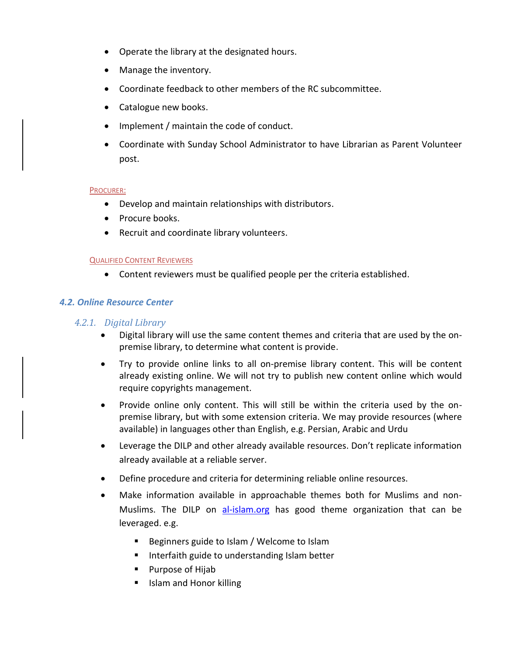- Operate the library at the designated hours.
- Manage the inventory.
- Coordinate feedback to other members of the RC subcommittee.
- Catalogue new books.
- Implement / maintain the code of conduct.
- Coordinate with Sunday School Administrator to have Librarian as Parent Volunteer post.

#### PROCURER:

- Develop and maintain relationships with distributors.
- Procure books.
- Recruit and coordinate library volunteers.

#### QUALIFIED CONTENT REVIEWERS

Content reviewers must be qualified people per the criteria established.

#### *4.2. Online Resource Center*

#### *4.2.1. Digital Library*

- Digital library will use the same content themes and criteria that are used by the onpremise library, to determine what content is provide.
- Try to provide online links to all on-premise library content. This will be content already existing online. We will not try to publish new content online which would require copyrights management.
- Provide online only content. This will still be within the criteria used by the onpremise library, but with some extension criteria. We may provide resources (where available) in languages other than English, e.g. Persian, Arabic and Urdu
- Leverage the DILP and other already available resources. Don't replicate information already available at a reliable server.
- Define procedure and criteria for determining reliable online resources.
- Make information available in approachable themes both for Muslims and nonMuslims. The DILP on [al-islam.org](http://www.al-islam.org/) has good theme organization that can be leveraged. e.g.
	- **Beginners guide to Islam / Welcome to Islam**
	- **IF Interfaith guide to understanding Islam better**
	- Purpose of Hijab
	- **IIII** Islam and Honor killing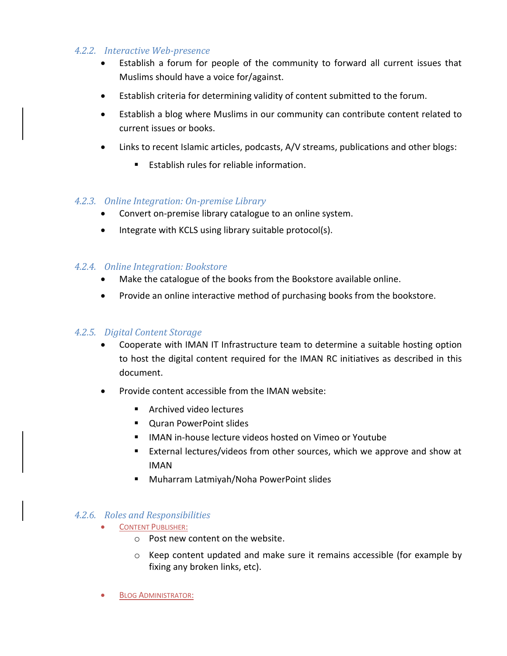#### *4.2.2. Interactive Web-presence*

- Establish a forum for people of the community to forward all current issues that Muslims should have a voice for/against.
- Establish criteria for determining validity of content submitted to the forum.
- Establish a blog where Muslims in our community can contribute content related to current issues or books.
- Links to recent Islamic articles, podcasts, A/V streams, publications and other blogs:
	- **Establish rules for reliable information.**

#### *4.2.3. Online Integration: On-premise Library*

- Convert on-premise library catalogue to an online system.
- Integrate with KCLS using library suitable protocol(s).

#### *4.2.4. Online Integration: Bookstore*

- Make the catalogue of the books from the Bookstore available online.
- Provide an online interactive method of purchasing books from the bookstore.

#### *4.2.5. Digital Content Storage*

- Cooperate with IMAN IT Infrastructure team to determine a suitable hosting option to host the digital content required for the IMAN RC initiatives as described in this document.
- Provide content accessible from the IMAN website:
	- **Archived video lectures**
	- Quran PowerPoint slides
	- IMAN in-house lecture videos hosted on Vimeo or Youtube
	- External lectures/videos from other sources, which we approve and show at IMAN
	- Muharram Latmiyah/Noha PowerPoint slides

#### *4.2.6. Roles and Responsibilities*

- CONTENT PUBLISHER:
	- o Post new content on the website.
	- o Keep content updated and make sure it remains accessible (for example by fixing any broken links, etc).
- BLOG ADMINISTRATOR: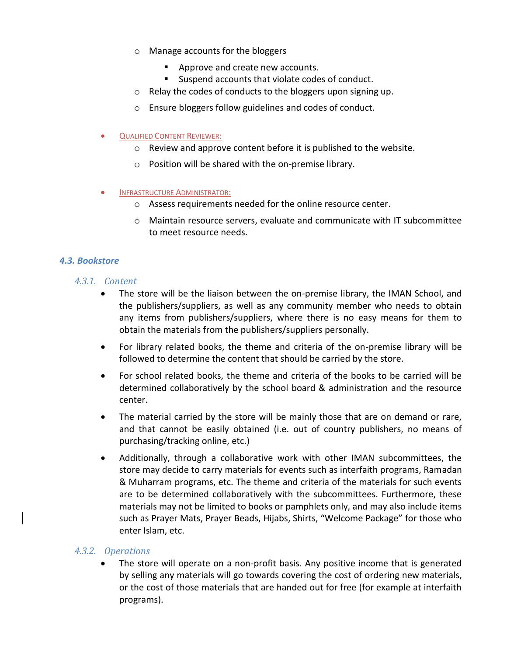- o Manage accounts for the bloggers
	- Approve and create new accounts.
	- Suspend accounts that violate codes of conduct.
- o Relay the codes of conducts to the bloggers upon signing up.
- o Ensure bloggers follow guidelines and codes of conduct.
- QUALIFIED CONTENT REVIEWER:
	- o Review and approve content before it is published to the website.
	- o Position will be shared with the on-premise library.
- INFRASTRUCTURE ADMINISTRATOR:
	- o Assess requirements needed for the online resource center.
	- o Maintain resource servers, evaluate and communicate with IT subcommittee to meet resource needs.

#### *4.3. Bookstore*

- *4.3.1. Content*
	- The store will be the liaison between the on-premise library, the IMAN School, and the publishers/suppliers, as well as any community member who needs to obtain any items from publishers/suppliers, where there is no easy means for them to obtain the materials from the publishers/suppliers personally.
	- For library related books, the theme and criteria of the on-premise library will be followed to determine the content that should be carried by the store.
	- For school related books, the theme and criteria of the books to be carried will be determined collaboratively by the school board & administration and the resource center.
	- The material carried by the store will be mainly those that are on demand or rare, and that cannot be easily obtained (i.e. out of country publishers, no means of purchasing/tracking online, etc.)
	- Additionally, through a collaborative work with other IMAN subcommittees, the store may decide to carry materials for events such as interfaith programs, Ramadan & Muharram programs, etc. The theme and criteria of the materials for such events are to be determined collaboratively with the subcommittees. Furthermore, these materials may not be limited to books or pamphlets only, and may also include items such as Prayer Mats, Prayer Beads, Hijabs, Shirts, "Welcome Package" for those who enter Islam, etc.

#### *4.3.2. Operations*

 The store will operate on a non-profit basis. Any positive income that is generated by selling any materials will go towards covering the cost of ordering new materials, or the cost of those materials that are handed out for free (for example at interfaith programs).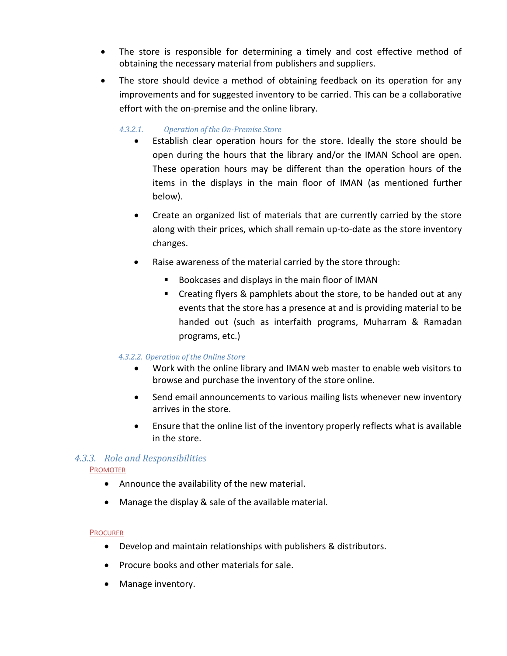- The store is responsible for determining a timely and cost effective method of obtaining the necessary material from publishers and suppliers.
- The store should device a method of obtaining feedback on its operation for any improvements and for suggested inventory to be carried. This can be a collaborative effort with the on-premise and the online library.

#### *4.3.2.1. Operation of the On-Premise Store*

- Establish clear operation hours for the store. Ideally the store should be open during the hours that the library and/or the IMAN School are open. These operation hours may be different than the operation hours of the items in the displays in the main floor of IMAN (as mentioned further below).
- Create an organized list of materials that are currently carried by the store along with their prices, which shall remain up-to-date as the store inventory changes.
- Raise awareness of the material carried by the store through:
	- Bookcases and displays in the main floor of IMAN
	- **EXTERGHT Creating flyers & pamphlets about the store, to be handed out at any** events that the store has a presence at and is providing material to be handed out (such as interfaith programs, Muharram & Ramadan programs, etc.)

#### *4.3.2.2. Operation of the Online Store*

- Work with the online library and IMAN web master to enable web visitors to browse and purchase the inventory of the store online.
- Send email announcements to various mailing lists whenever new inventory arrives in the store.
- Ensure that the online list of the inventory properly reflects what is available in the store.

#### *4.3.3. Role and Responsibilities*

#### PROMOTER

- Announce the availability of the new material.
- Manage the display & sale of the available material.

#### PROCURER

- Develop and maintain relationships with publishers & distributors.
- Procure books and other materials for sale.
- Manage inventory.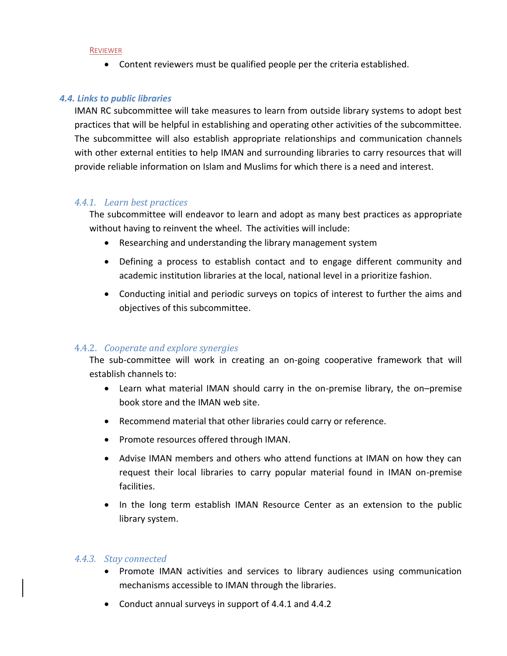#### REVIEWER

Content reviewers must be qualified people per the criteria established.

#### *4.4. Links to public libraries*

IMAN RC subcommittee will take measures to learn from outside library systems to adopt best practices that will be helpful in establishing and operating other activities of the subcommittee. The subcommittee will also establish appropriate relationships and communication channels with other external entities to help IMAN and surrounding libraries to carry resources that will provide reliable information on Islam and Muslims for which there is a need and interest.

#### *4.4.1. Learn best practices*

The subcommittee will endeavor to learn and adopt as many best practices as appropriate without having to reinvent the wheel. The activities will include:

- Researching and understanding the library management system
- Defining a process to establish contact and to engage different community and academic institution libraries at the local, national level in a prioritize fashion.
- Conducting initial and periodic surveys on topics of interest to further the aims and objectives of this subcommittee.

#### 4.4.2. *Cooperate and explore synergies*

The sub-committee will work in creating an on-going cooperative framework that will establish channels to:

- Learn what material IMAN should carry in the on-premise library, the on–premise book store and the IMAN web site.
- Recommend material that other libraries could carry or reference.
- Promote resources offered through IMAN.
- Advise IMAN members and others who attend functions at IMAN on how they can request their local libraries to carry popular material found in IMAN on-premise facilities.
- In the long term establish IMAN Resource Center as an extension to the public library system.

#### *4.4.3. Stay connected*

- Promote IMAN activities and services to library audiences using communication mechanisms accessible to IMAN through the libraries.
- Conduct annual surveys in support of 4.4.1 and 4.4.2